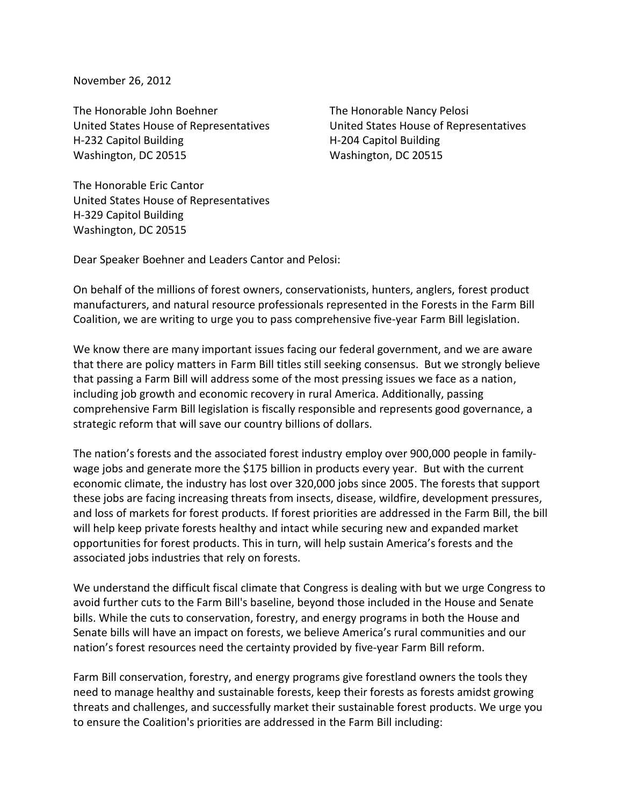November 26, 2012

The Honorable John Boehner United States House of Representatives H-232 Capitol Building Washington, DC 20515

The Honorable Nancy Pelosi United States House of Representatives H-204 Capitol Building Washington, DC 20515

The Honorable Eric Cantor United States House of Representatives H-329 Capitol Building Washington, DC 20515

Dear Speaker Boehner and Leaders Cantor and Pelosi:

On behalf of the millions of forest owners, conservationists, hunters, anglers, forest product manufacturers, and natural resource professionals represented in the Forests in the Farm Bill Coalition, we are writing to urge you to pass comprehensive five-year Farm Bill legislation.

We know there are many important issues facing our federal government, and we are aware that there are policy matters in Farm Bill titles still seeking consensus. But we strongly believe that passing a Farm Bill will address some of the most pressing issues we face as a nation, including job growth and economic recovery in rural America. Additionally, passing comprehensive Farm Bill legislation is fiscally responsible and represents good governance, a strategic reform that will save our country billions of dollars.

The nation's forests and the associated forest industry employ over 900,000 people in familywage jobs and generate more the \$175 billion in products every year. But with the current economic climate, the industry has lost over 320,000 jobs since 2005. The forests that support these jobs are facing increasing threats from insects, disease, wildfire, development pressures, and loss of markets for forest products. If forest priorities are addressed in the Farm Bill, the bill will help keep private forests healthy and intact while securing new and expanded market opportunities for forest products. This in turn, will help sustain America's forests and the associated jobs industries that rely on forests.

We understand the difficult fiscal climate that Congress is dealing with but we urge Congress to avoid further cuts to the Farm Bill's baseline, beyond those included in the House and Senate bills. While the cuts to conservation, forestry, and energy programs in both the House and Senate bills will have an impact on forests, we believe America's rural communities and our nation's forest resources need the certainty provided by five-year Farm Bill reform.

Farm Bill conservation, forestry, and energy programs give forestland owners the tools they need to manage healthy and sustainable forests, keep their forests as forests amidst growing threats and challenges, and successfully market their sustainable forest products. We urge you to ensure the Coalition's priorities are addressed in the Farm Bill including: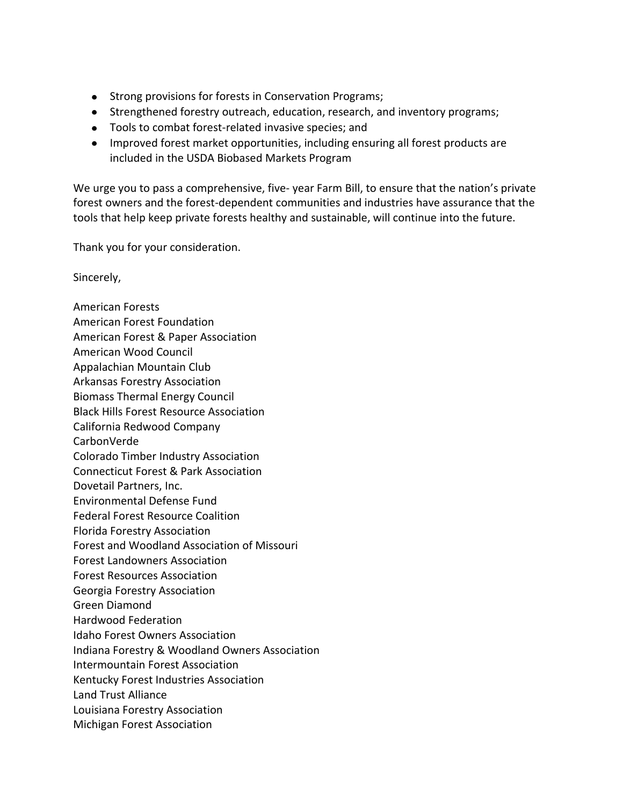- Strong provisions for forests in Conservation Programs;
- Strengthened forestry outreach, education, research, and inventory programs;
- Tools to combat forest-related invasive species; and
- Improved forest market opportunities, including ensuring all forest products are included in the USDA Biobased Markets Program

We urge you to pass a comprehensive, five- year Farm Bill, to ensure that the nation's private forest owners and the forest-dependent communities and industries have assurance that the tools that help keep private forests healthy and sustainable, will continue into the future.

Thank you for your consideration.

Sincerely,

American Forests American Forest Foundation American Forest & Paper Association American Wood Council Appalachian Mountain Club Arkansas Forestry Association Biomass Thermal Energy Council Black Hills Forest Resource Association California Redwood Company CarbonVerde Colorado Timber Industry Association Connecticut Forest & Park Association Dovetail Partners, Inc. Environmental Defense Fund Federal Forest Resource Coalition Florida Forestry Association Forest and Woodland Association of Missouri Forest Landowners Association Forest Resources Association Georgia Forestry Association Green Diamond Hardwood Federation Idaho Forest Owners Association Indiana Forestry & Woodland Owners Association Intermountain Forest Association Kentucky Forest Industries Association Land Trust Alliance Louisiana Forestry Association Michigan Forest Association